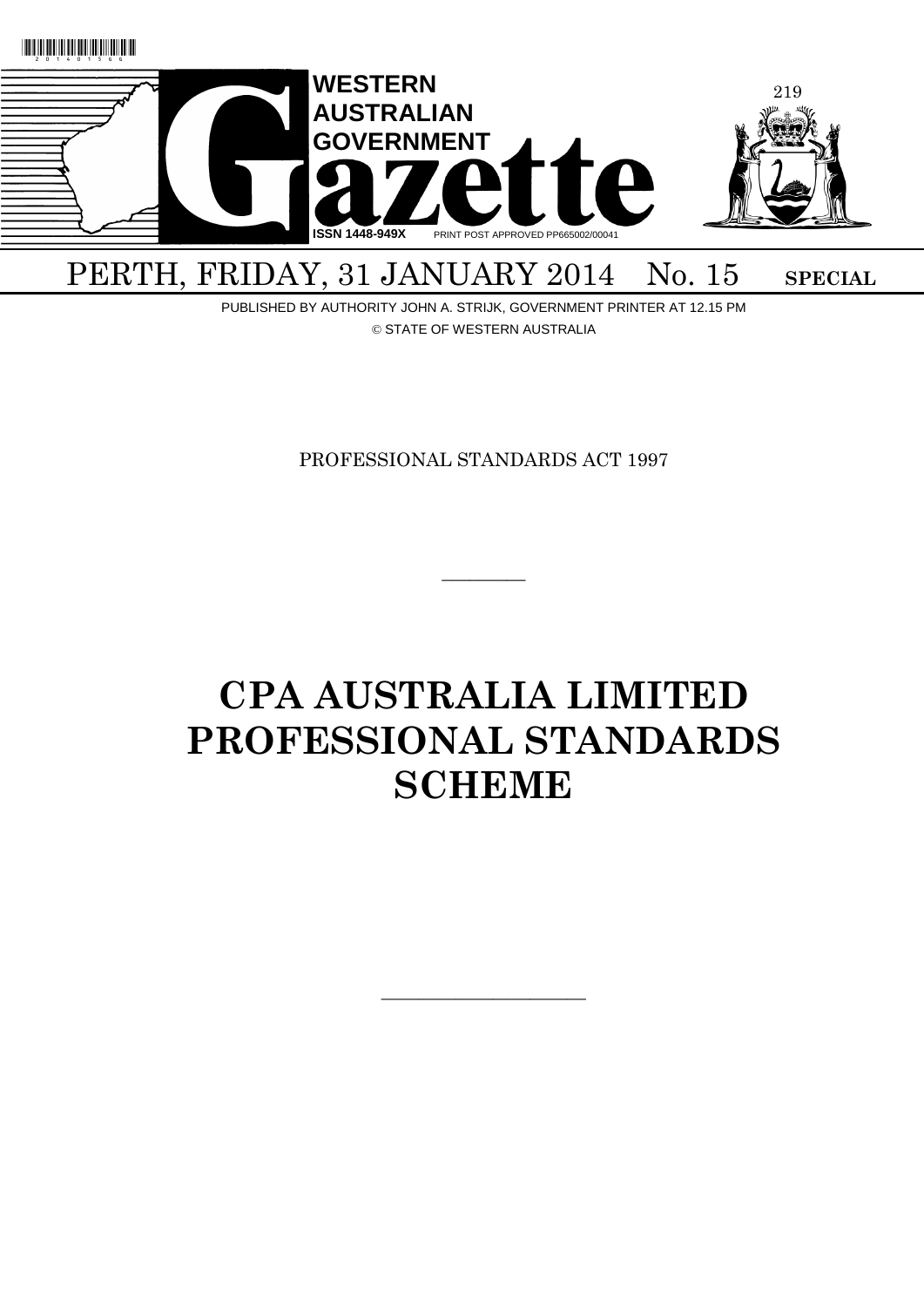

## PERTH, FRIDAY, 31 JANUARY 2014 No. 15 SPECIAL

PUBLISHED BY AUTHORITY JOHN A. STRIJK, GOVERNMENT PRINTER AT 12.15 PM © STATE OF WESTERN AUSTRALIA

PROFESSIONAL STANDARDS ACT 1997

 $\overline{\phantom{a}}$ 

# **CPA AUSTRALIA LIMITED PROFESSIONAL STANDARDS SCHEME**

 $\overline{\phantom{a}}$  , and the contract of  $\overline{\phantom{a}}$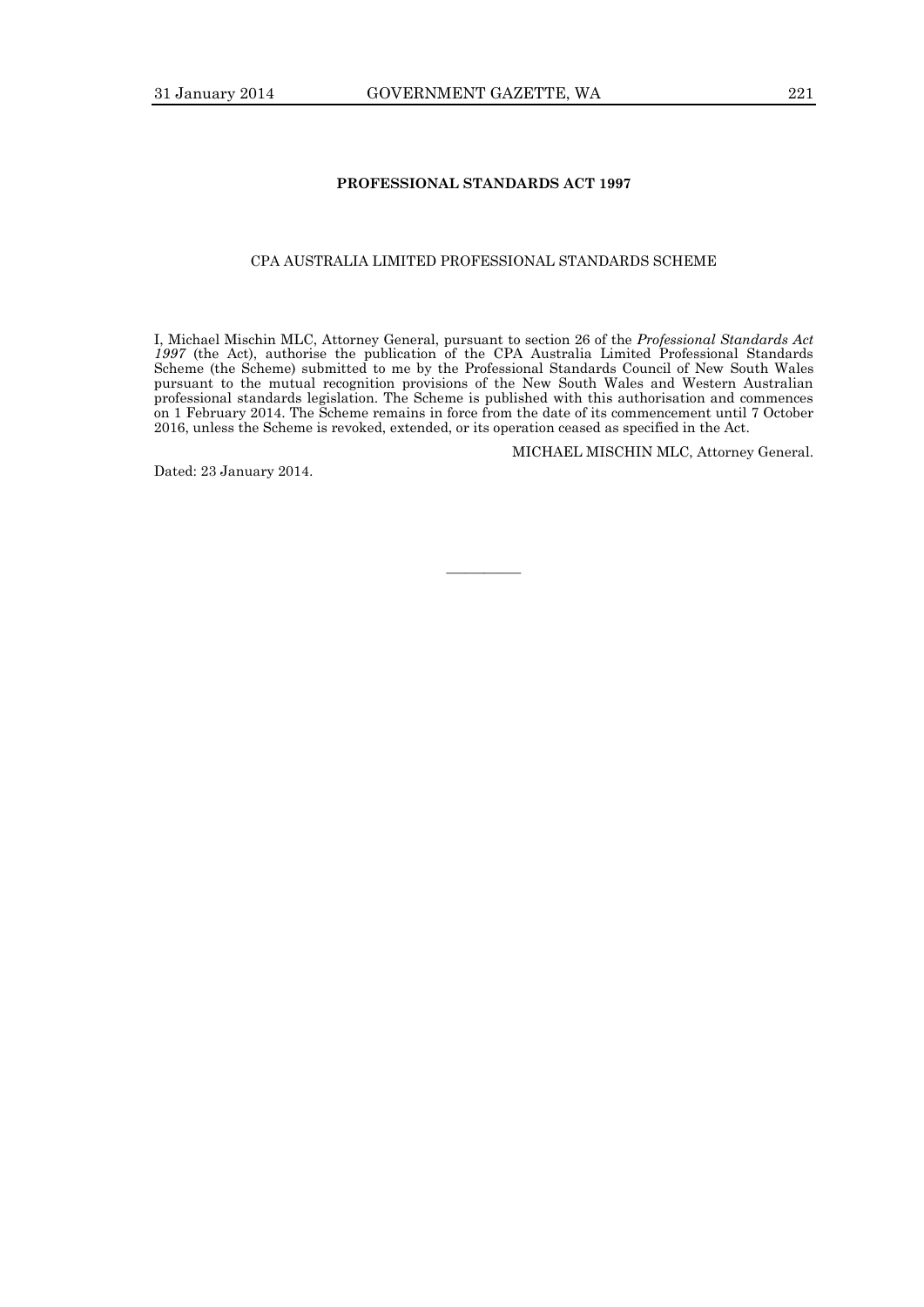## CPA AUSTRALIA LIMITED PROFESSIONAL STANDARDS SCHEME

I, Michael Mischin MLC, Attorney General, pursuant to section 26 of the *Professional Standards Act 1997* (the Act), authorise the publication of the CPA Australia Limited Professional Standards Scheme (the Scheme) submitted to me by the Professional Standards Council of New South Wales pursuant to the mutual recognition provisions of the New South Wales and Western Australian professional standards legislation. The Scheme is published with this authorisation and commences on 1 February 2014. The Scheme remains in force from the date of its commencement until 7 October 2016, unless the Scheme is revoked, extended, or its operation ceased as specified in the Act.

————

MICHAEL MISCHIN MLC, Attorney General.

Dated: 23 January 2014.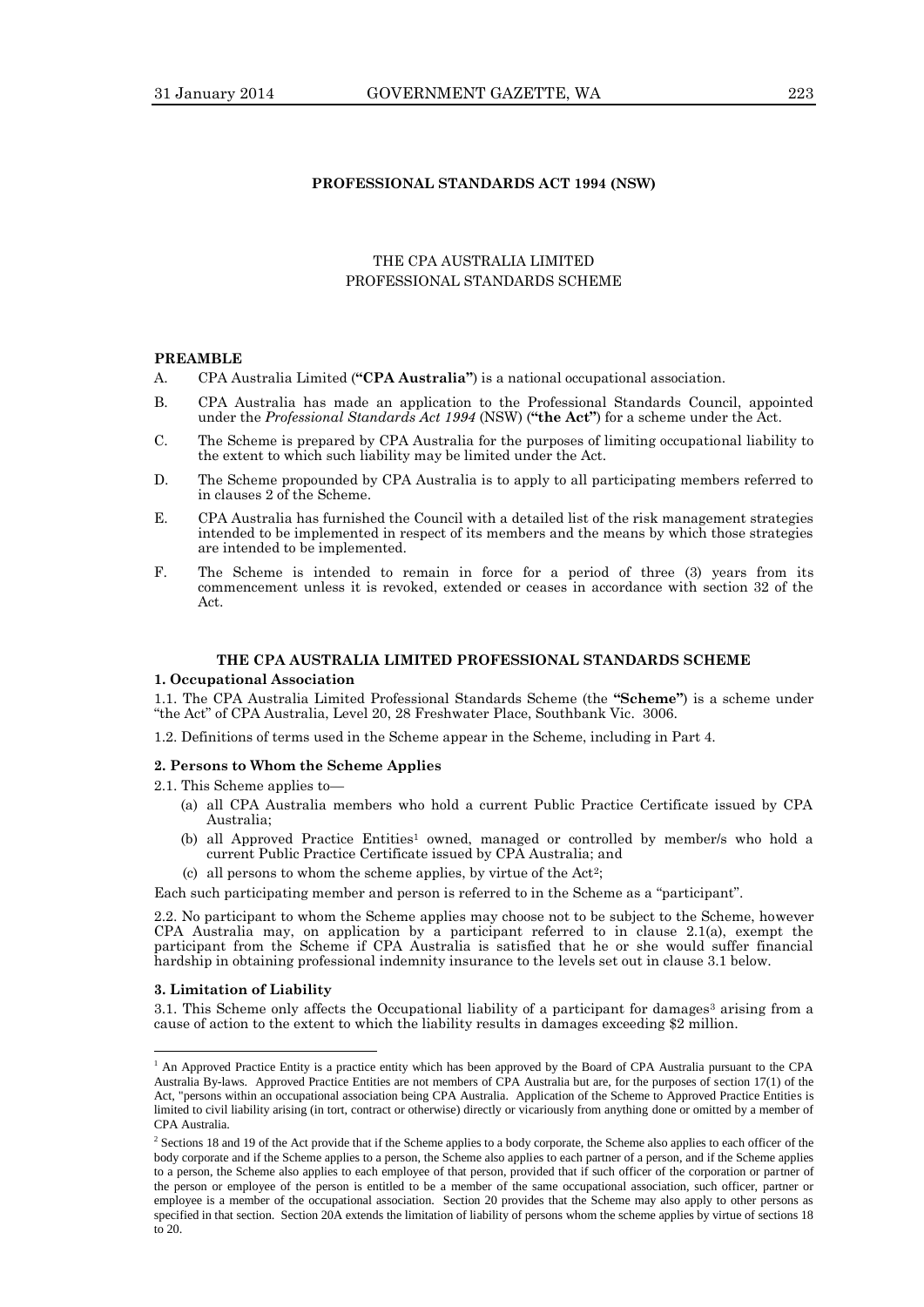## **PROFESSIONAL STANDARDS ACT 1994 (NSW)**

## THE CPA AUSTRALIA LIMITED PROFESSIONAL STANDARDS SCHEME

## **PREAMBLE**

- A. CPA Australia Limited (**"CPA Australia"**) is a national occupational association.
- B. CPA Australia has made an application to the Professional Standards Council, appointed under the *Professional Standards Act 1994* (NSW) (**"the Act"**) for a scheme under the Act.
- C. The Scheme is prepared by CPA Australia for the purposes of limiting occupational liability to the extent to which such liability may be limited under the Act.
- D. The Scheme propounded by CPA Australia is to apply to all participating members referred to in clauses 2 of the Scheme.
- E. CPA Australia has furnished the Council with a detailed list of the risk management strategies intended to be implemented in respect of its members and the means by which those strategies are intended to be implemented.
- F. The Scheme is intended to remain in force for a period of three (3) years from its commencement unless it is revoked, extended or ceases in accordance with section 32 of the Act.

## **THE CPA AUSTRALIA LIMITED PROFESSIONAL STANDARDS SCHEME**

#### **1. Occupational Association**

1.1. The CPA Australia Limited Professional Standards Scheme (the **"Scheme"**) is a scheme under "the Act" of CPA Australia, Level 20, 28 Freshwater Place, Southbank Vic. 3006.

1.2. Definitions of terms used in the Scheme appear in the Scheme, including in Part 4.

## **2. Persons to Whom the Scheme Applies**

2.1. This Scheme applies to—

- (a) all CPA Australia members who hold a current Public Practice Certificate issued by CPA Australia;
- (b) all Approved Practice Entities<sup>1</sup> owned, managed or controlled by member/s who hold a current Public Practice Certificate issued by CPA Australia; and
- (c) all persons to whom the scheme applies, by virtue of the  $Act^2$ ;
- Each such participating member and person is referred to in the Scheme as a "participant".

2.2. No participant to whom the Scheme applies may choose not to be subject to the Scheme, however CPA Australia may, on application by a participant referred to in clause 2.1(a), exempt the participant from the Scheme if CPA Australia is satisfied that he or she would suffer financial hardship in obtaining professional indemnity insurance to the levels set out in clause 3.1 below.

## **3. Limitation of Liability**

 $\overline{a}$ 

3.1. This Scheme only affects the Occupational liability of a participant for damages<sup>3</sup> arising from a cause of action to the extent to which the liability results in damages exceeding \$2 million.

<sup>&</sup>lt;sup>1</sup> An Approved Practice Entity is a practice entity which has been approved by the Board of CPA Australia pursuant to the CPA Australia By-laws. Approved Practice Entities are not members of CPA Australia but are, for the purposes of section 17(1) of the Act, "persons within an occupational association being CPA Australia. Application of the Scheme to Approved Practice Entities is limited to civil liability arising (in tort, contract or otherwise) directly or vicariously from anything done or omitted by a member of CPA Australia.

<sup>&</sup>lt;sup>2</sup> Sections 18 and 19 of the Act provide that if the Scheme applies to a body corporate, the Scheme also applies to each officer of the body corporate and if the Scheme applies to a person, the Scheme also applies to each partner of a person, and if the Scheme applies to a person, the Scheme also applies to each employee of that person, provided that if such officer of the corporation or partner of the person or employee of the person is entitled to be a member of the same occupational association, such officer, partner or employee is a member of the occupational association. Section 20 provides that the Scheme may also apply to other persons as specified in that section. Section 20A extends the limitation of liability of persons whom the scheme applies by virtue of sections 18 to 20.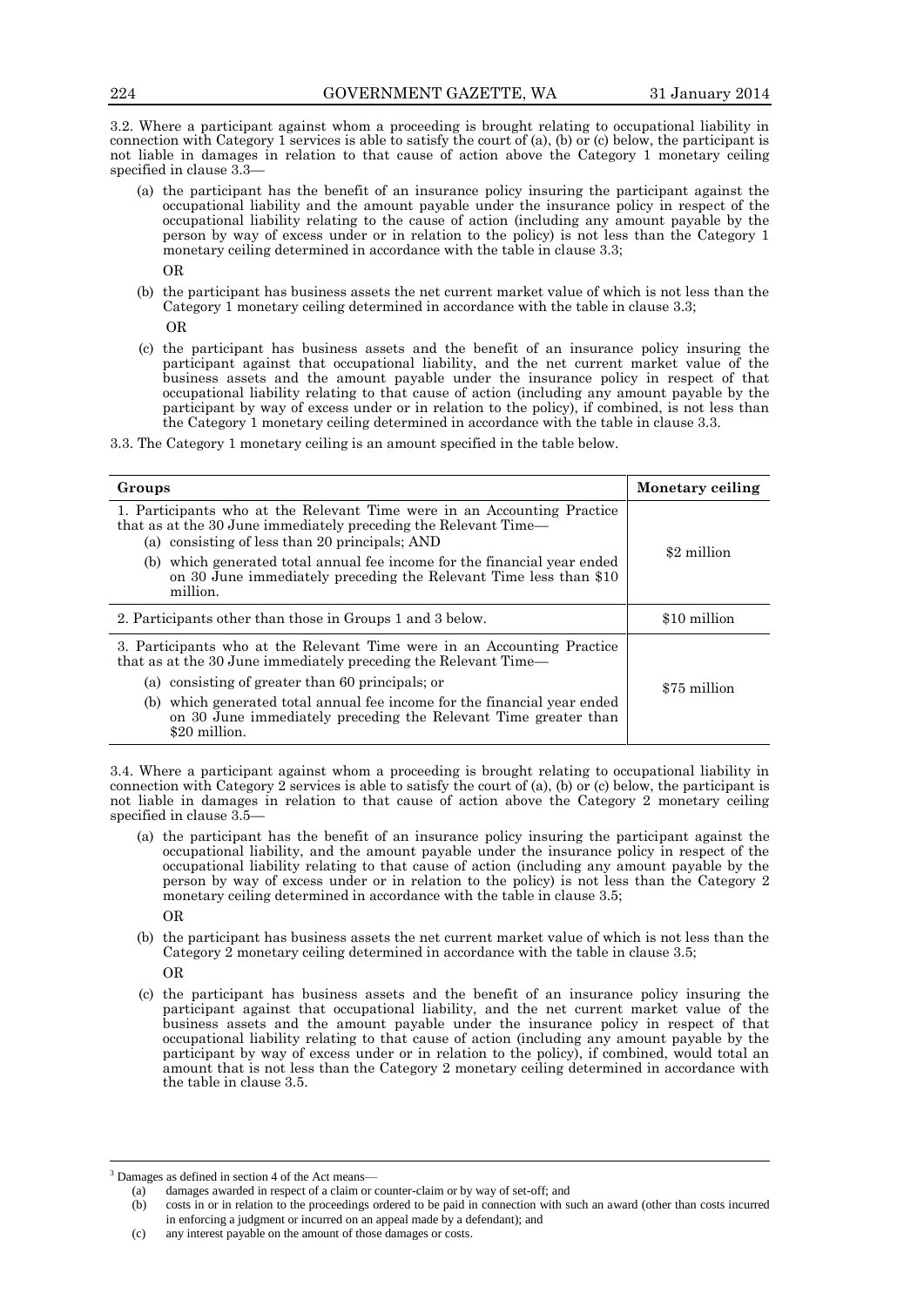3.2. Where a participant against whom a proceeding is brought relating to occupational liability in connection with Category 1 services is able to satisfy the court of (a), (b) or (c) below, the participant is not liable in damages in relation to that cause of action above the Category 1 monetary ceiling specified in clause 3.3—

- (a) the participant has the benefit of an insurance policy insuring the participant against the occupational liability and the amount payable under the insurance policy in respect of the occupational liability relating to the cause of action (including any amount payable by the person by way of excess under or in relation to the policy) is not less than the Category 1 monetary ceiling determined in accordance with the table in clause 3.3; OR
- (b) the participant has business assets the net current market value of which is not less than the Category 1 monetary ceiling determined in accordance with the table in clause 3.3; OR
- (c) the participant has business assets and the benefit of an insurance policy insuring the participant against that occupational liability, and the net current market value of the business assets and the amount payable under the insurance policy in respect of that occupational liability relating to that cause of action (including any amount payable by the participant by way of excess under or in relation to the policy), if combined, is not less than the Category 1 monetary ceiling determined in accordance with the table in clause 3.3.

<sup>3.3.</sup> The Category 1 monetary ceiling is an amount specified in the table below.

| Groups                                                                                                                                                                                                                                                                   | Monetary ceiling |
|--------------------------------------------------------------------------------------------------------------------------------------------------------------------------------------------------------------------------------------------------------------------------|------------------|
| 1. Participants who at the Relevant Time were in an Accounting Practice<br>that as at the 30 June immediately preceding the Relevant Time—<br>(a) consisting of less than 20 principals; AND<br>(b) which generated total annual fee income for the financial year ended | \$2 million      |
| on 30 June immediately preceding the Relevant Time less than \$10<br>million.                                                                                                                                                                                            |                  |
| 2. Participants other than those in Groups 1 and 3 below.                                                                                                                                                                                                                | \$10 million     |
| 3. Participants who at the Relevant Time were in an Accounting Practice<br>that as at the 30 June immediately preceding the Relevant Time—                                                                                                                               |                  |
| (a) consisting of greater than 60 principals; or                                                                                                                                                                                                                         | \$75 million     |
| (b) which generated total annual fee income for the financial year ended<br>on 30 June immediately preceding the Relevant Time greater than<br>\$20 million.                                                                                                             |                  |

3.4. Where a participant against whom a proceeding is brought relating to occupational liability in connection with Category 2 services is able to satisfy the court of (a), (b) or (c) below, the participant is not liable in damages in relation to that cause of action above the Category 2 monetary ceiling specified in clause 3.5—

- (a) the participant has the benefit of an insurance policy insuring the participant against the occupational liability, and the amount payable under the insurance policy in respect of the occupational liability relating to that cause of action (including any amount payable by the person by way of excess under or in relation to the policy) is not less than the Category 2 monetary ceiling determined in accordance with the table in clause 3.5; OR
- (b) the participant has business assets the net current market value of which is not less than the Category 2 monetary ceiling determined in accordance with the table in clause 3.5; OR
- (c) the participant has business assets and the benefit of an insurance policy insuring the participant against that occupational liability, and the net current market value of the business assets and the amount payable under the insurance policy in respect of that occupational liability relating to that cause of action (including any amount payable by the participant by way of excess under or in relation to the policy), if combined, would total an amount that is not less than the Category 2 monetary ceiling determined in accordance with the table in clause 3.5.

 $\overline{a}$ 

<sup>&</sup>lt;sup>3</sup> Damages as defined in section 4 of the Act means-

<sup>(</sup>a) damages awarded in respect of a claim or counter-claim or by way of set-off; and

<sup>(</sup>b) costs in or in relation to the proceedings ordered to be paid in connection with such an award (other than costs incurred in enforcing a judgment or incurred on an appeal made by a defendant); and

<sup>(</sup>c) any interest payable on the amount of those damages or costs.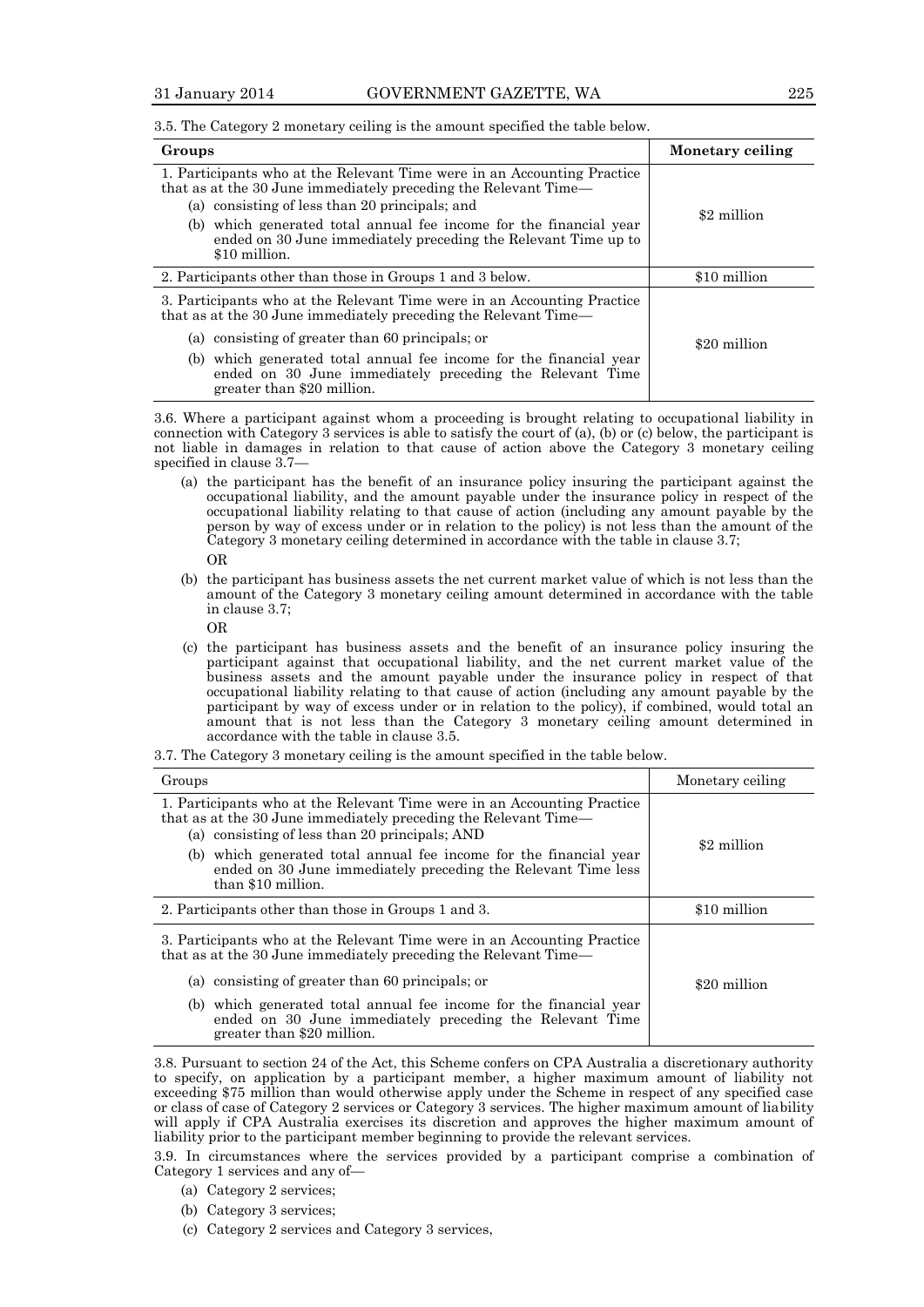3.5. The Category 2 monetary ceiling is the amount specified the table below.

| Groups                                                                                                                                                                                       | Monetary ceiling |
|----------------------------------------------------------------------------------------------------------------------------------------------------------------------------------------------|------------------|
| 1. Participants who at the Relevant Time were in an Accounting Practice<br>that as at the 30 June immediately preceding the Relevant Time—<br>(a) consisting of less than 20 principals; and | \$2 million      |
| (b) which generated total annual fee income for the financial year<br>ended on 30 June immediately preceding the Relevant Time up to<br>\$10 million.                                        |                  |
| 2. Participants other than those in Groups 1 and 3 below.                                                                                                                                    | \$10 million     |
| 3. Participants who at the Relevant Time were in an Accounting Practice<br>that as at the 30 June immediately preceding the Relevant Time—                                                   |                  |
| (a) consisting of greater than 60 principals; or                                                                                                                                             | \$20 million     |
| (b) which generated total annual fee income for the financial year<br>ended on 30 June immediately preceding the Relevant Time<br>greater than \$20 million.                                 |                  |

3.6. Where a participant against whom a proceeding is brought relating to occupational liability in connection with Category 3 services is able to satisfy the court of (a), (b) or (c) below, the participant is not liable in damages in relation to that cause of action above the Category 3 monetary ceiling specified in clause 3.7—

- (a) the participant has the benefit of an insurance policy insuring the participant against the occupational liability, and the amount payable under the insurance policy in respect of the occupational liability relating to that cause of action (including any amount payable by the person by way of excess under or in relation to the policy) is not less than the amount of the Category 3 monetary ceiling determined in accordance with the table in clause 3.7; OR
- (b) the participant has business assets the net current market value of which is not less than the amount of the Category 3 monetary ceiling amount determined in accordance with the table in clause 3.7;
	- OR
- (c) the participant has business assets and the benefit of an insurance policy insuring the participant against that occupational liability, and the net current market value of the business assets and the amount payable under the insurance policy in respect of that occupational liability relating to that cause of action (including any amount payable by the participant by way of excess under or in relation to the policy), if combined, would total an amount that is not less than the Category 3 monetary ceiling amount determined in accordance with the table in clause 3.5.

<sup>3.7.</sup> The Category 3 monetary ceiling is the amount specified in the table below.

| Groups                                                                                                                                                                                                                                                                                                                                                         | Monetary ceiling |
|----------------------------------------------------------------------------------------------------------------------------------------------------------------------------------------------------------------------------------------------------------------------------------------------------------------------------------------------------------------|------------------|
| 1. Participants who at the Relevant Time were in an Accounting Practice<br>that as at the 30 June immediately preceding the Relevant Time—<br>(a) consisting of less than 20 principals; AND<br>(b) which generated total annual fee income for the financial year<br>ended on 30 June immediately preceding the Relevant Time less<br>than \$10 million.      | \$2 million      |
| 2. Participants other than those in Groups 1 and 3.                                                                                                                                                                                                                                                                                                            | \$10 million     |
| 3. Participants who at the Relevant Time were in an Accounting Practice<br>that as at the 30 June immediately preceding the Relevant Time—<br>(a) consisting of greater than 60 principals; or<br>(b) which generated total annual fee income for the financial year<br>ended on 30 June immediately preceding the Relevant Time<br>greater than \$20 million. | \$20 million     |

3.8. Pursuant to section 24 of the Act, this Scheme confers on CPA Australia a discretionary authority to specify, on application by a participant member, a higher maximum amount of liability not exceeding \$75 million than would otherwise apply under the Scheme in respect of any specified case or class of case of Category 2 services or Category 3 services. The higher maximum amount of liability will apply if CPA Australia exercises its discretion and approves the higher maximum amount of liability prior to the participant member beginning to provide the relevant services.

3.9. In circumstances where the services provided by a participant comprise a combination of Category 1 services and any of—

- (a) Category 2 services;
- (b) Category 3 services;
- (c) Category 2 services and Category 3 services,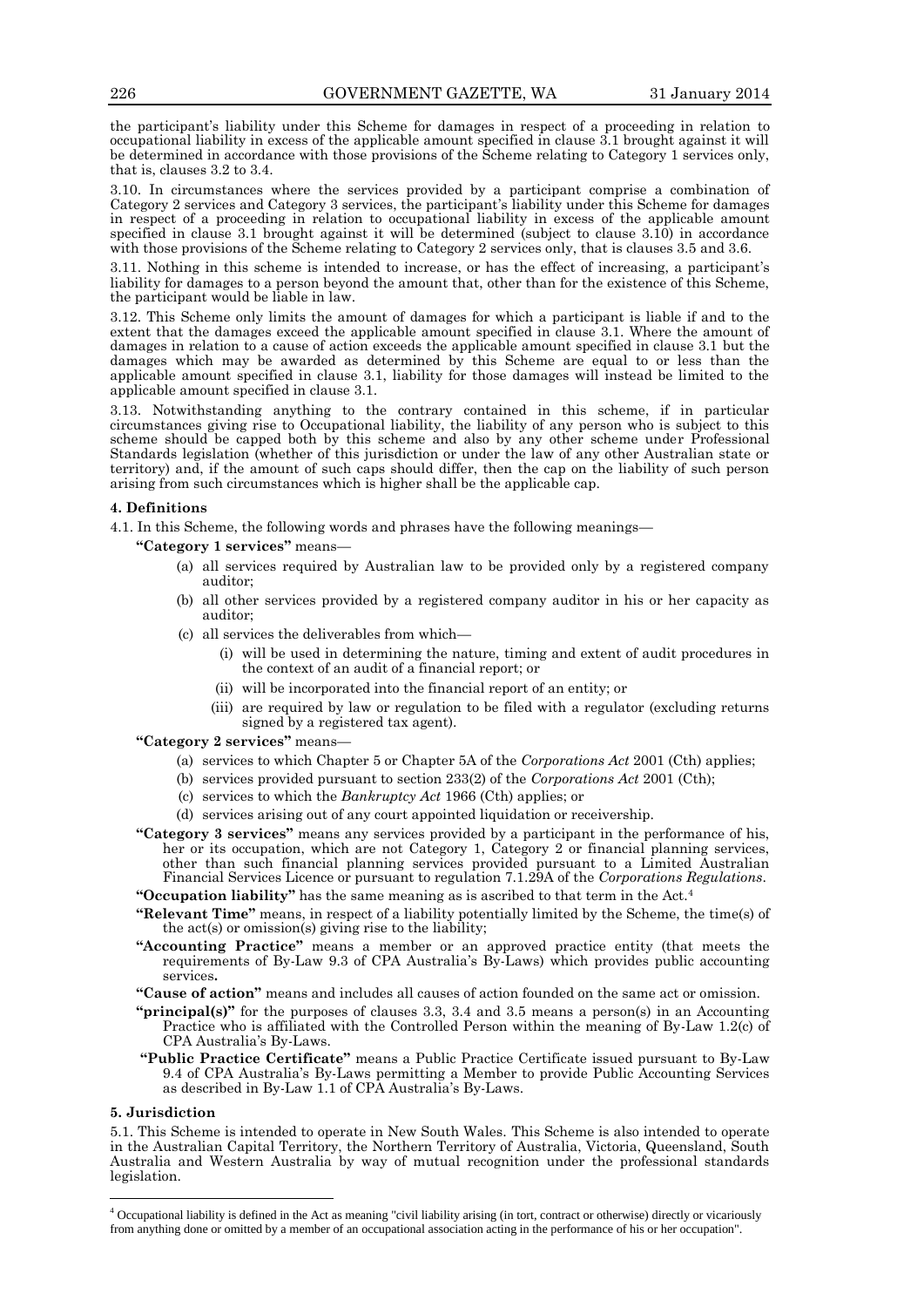the participant's liability under this Scheme for damages in respect of a proceeding in relation to occupational liability in excess of the applicable amount specified in clause 3.1 brought against it will be determined in accordance with those provisions of the Scheme relating to Category 1 services only, that is, clauses 3.2 to 3.4.

3.10. In circumstances where the services provided by a participant comprise a combination of Category 2 services and Category 3 services, the participant's liability under this Scheme for damages in respect of a proceeding in relation to occupational liability in excess of the applicable amount specified in clause 3.1 brought against it will be determined (subject to clause  $3.\overline{10}$ ) in accordance with those provisions of the Scheme relating to Category 2 services only, that is clauses 3.5 and 3.6.

3.11. Nothing in this scheme is intended to increase, or has the effect of increasing, a participant's liability for damages to a person beyond the amount that, other than for the existence of this Scheme, the participant would be liable in law.

3.12. This Scheme only limits the amount of damages for which a participant is liable if and to the extent that the damages exceed the applicable amount specified in clause 3.1. Where the amount of damages in relation to a cause of action exceeds the applicable amount specified in clause 3.1 but the damages which may be awarded as determined by this Scheme are equal to or less than the applicable amount specified in clause 3.1, liability for those damages will instead be limited to the applicable amount specified in clause 3.1.

3.13. Notwithstanding anything to the contrary contained in this scheme, if in particular circumstances giving rise to Occupational liability, the liability of any person who is subject to this scheme should be capped both by this scheme and also by any other scheme under Professional Standards legislation (whether of this jurisdiction or under the law of any other Australian state or territory) and, if the amount of such caps should differ, then the cap on the liability of such person arising from such circumstances which is higher shall be the applicable cap.

#### **4. Definitions**

4.1. In this Scheme, the following words and phrases have the following meanings—

**"Category 1 services"** means—

- (a) all services required by Australian law to be provided only by a registered company auditor;
- (b) all other services provided by a registered company auditor in his or her capacity as auditor;
- (c) all services the deliverables from which—
	- (i) will be used in determining the nature, timing and extent of audit procedures in the context of an audit of a financial report; or
	- (ii) will be incorporated into the financial report of an entity; or
	- (iii) are required by law or regulation to be filed with a regulator (excluding returns signed by a registered tax agent).

## **"Category 2 services"** means—

- (a) services to which Chapter 5 or Chapter 5A of the *Corporations Act* 2001 (Cth) applies;
- (b) services provided pursuant to section 233(2) of the *Corporations Act* 2001 (Cth);
- (c) services to which the *Bankruptcy Act* 1966 (Cth) applies; or
- (d) services arising out of any court appointed liquidation or receivership.
- **"Category 3 services"** means any services provided by a participant in the performance of his, her or its occupation, which are not Category 1, Category 2 or financial planning services, other than such financial planning services provided pursuant to a Limited Australian Financial Services Licence or pursuant to regulation 7.1.29A of the *Corporations Regulations*.

**"Occupation liability"** has the same meaning as is ascribed to that term in the Act.<sup>4</sup>

- **"Relevant Time"** means, in respect of a liability potentially limited by the Scheme, the time(s) of the  $act(s)$  or omission(s) giving rise to the liability;
- **"Accounting Practice"** means a member or an approved practice entity (that meets the requirements of By-Law 9.3 of CPA Australia's By-Laws) which provides public accounting services**.**
- **"Cause of action"** means and includes all causes of action founded on the same act or omission.
- **"principal(s)"** for the purposes of clauses 3.3, 3.4 and 3.5 means a person(s) in an Accounting Practice who is affiliated with the Controlled Person within the meaning of By-Law 1.2(c) of CPA Australia's By-Laws.
- **"Public Practice Certificate"** means a Public Practice Certificate issued pursuant to By-Law 9.4 of CPA Australia's By-Laws permitting a Member to provide Public Accounting Services as described in By-Law 1.1 of CPA Australia's By-Laws.

#### **5. Jurisdiction**

 $\overline{a}$ 

5.1. This Scheme is intended to operate in New South Wales. This Scheme is also intended to operate in the Australian Capital Territory, the Northern Territory of Australia, Victoria, Queensland, South Australia and Western Australia by way of mutual recognition under the professional standards legislation.

<sup>4</sup> Occupational liability is defined in the Act as meaning "civil liability arising (in tort, contract or otherwise) directly or vicariously from anything done or omitted by a member of an occupational association acting in the performance of his or her occupation".